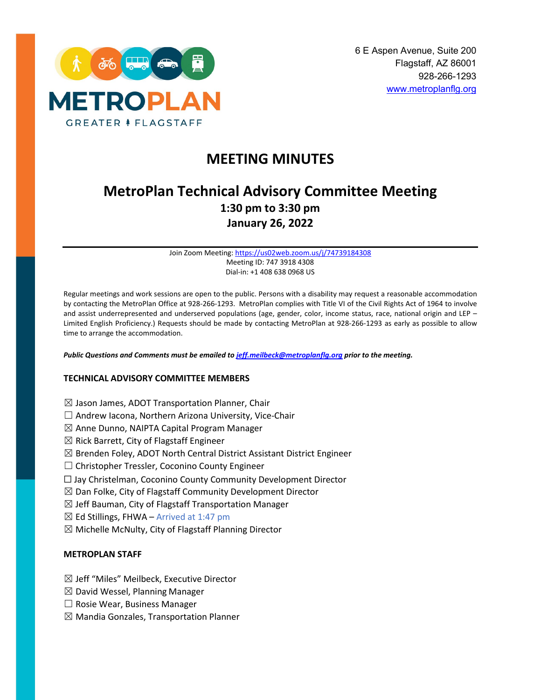

# **MEETING MINUTES**

# **MetroPlan Technical Advisory Committee Meeting 1:30 pm to 3:30 pm January 26, 2022**

Join Zoom Meeting[: https://us02web.zoom.us/j/74739184308](https://us02web.zoom.us/j/74739184308) Meeting ID: 747 3918 4308 Dial-in: +1 408 638 0968 US

Regular meetings and work sessions are open to the public. Persons with a disability may request a reasonable accommodation by contacting the MetroPlan Office at 928-266-1293. MetroPlan complies with Title VI of the Civil Rights Act of 1964 to involve and assist underrepresented and underserved populations (age, gender, color, income status, race, national origin and LEP – Limited English Proficiency.) Requests should be made by contacting MetroPlan at 928-266-1293 as early as possible to allow time to arrange the accommodation.

*Public Questions and Comments must be emailed t[o jeff.meilbeck@metroplanflg.org](mailto:jeff.meilbeck@metroplanflg.org) prior to the meeting.*

#### **TECHNICAL ADVISORY COMMITTEE MEMBERS**

- $\boxtimes$  Jason James, ADOT Transportation Planner, Chair
- □ Andrew Iacona, Northern Arizona University, Vice-Chair
- $\boxtimes$  Anne Dunno, NAIPTA Capital Program Manager
- $\boxtimes$  Rick Barrett, City of Flagstaff Engineer
- $\boxtimes$  Brenden Foley, ADOT North Central District Assistant District Engineer
- ☐ Christopher Tressler, Coconino County Engineer
- ☐ Jay Christelman, Coconino County Community Development Director
- $\boxtimes$  Dan Folke, City of Flagstaff Community Development Director
- $\boxtimes$  Jeff Bauman, City of Flagstaff Transportation Manager
- $\boxtimes$  Ed Stillings, FHWA Arrived at 1:47 pm
- $\boxtimes$  Michelle McNulty, City of Flagstaff Planning Director

## **METROPLAN STAFF**

- ☒ Jeff "Miles" Meilbeck, Executive Director
- $\boxtimes$  David Wessel, Planning Manager
- ☐ Rosie Wear, Business Manager
- $\boxtimes$  Mandia Gonzales, Transportation Planner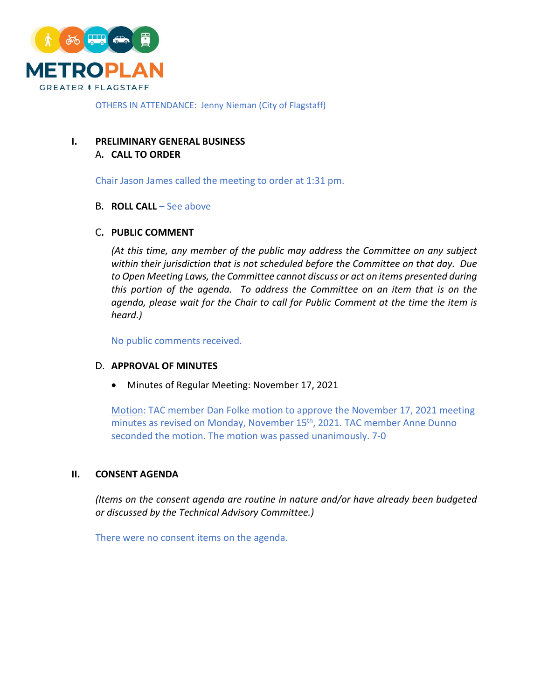

OTHERS IN ATTENDANCE: Jenny Nieman (City of Flagstaff)

# **I. PRELIMINARY GENERAL BUSINESS** A. **CALL TO ORDER**

Chair Jason James called the meeting to order at 1:31 pm.

# B. **ROLL CALL** – See above

# C. **PUBLIC COMMENT**

*(At this time, any member of the public may address the Committee on any subject within their jurisdiction that is not scheduled before the Committee on that day. Due to Open Meeting Laws, the Committee cannot discuss or act on items presented during this portion of the agenda. To address the Committee on an item that is on the*  agenda, please wait for the Chair to call for Public Comment at the time the item is *heard.)*

No public comments received.

# D. **APPROVAL OF MINUTES**

• Minutes of Regular Meeting: November 17, 2021

Motion: TAC member Dan Folke motion to approve the November 17, 2021 meeting minutes as revised on Monday, November 15<sup>th</sup>, 2021. TAC member Anne Dunno seconded the motion. The motion was passed unanimously. 7-0

# **II. CONSENT AGENDA**

*(Items on the consent agenda are routine in nature and/or have already been budgeted or discussed by the Technical Advisory Committee.)*

There were no consent items on the agenda.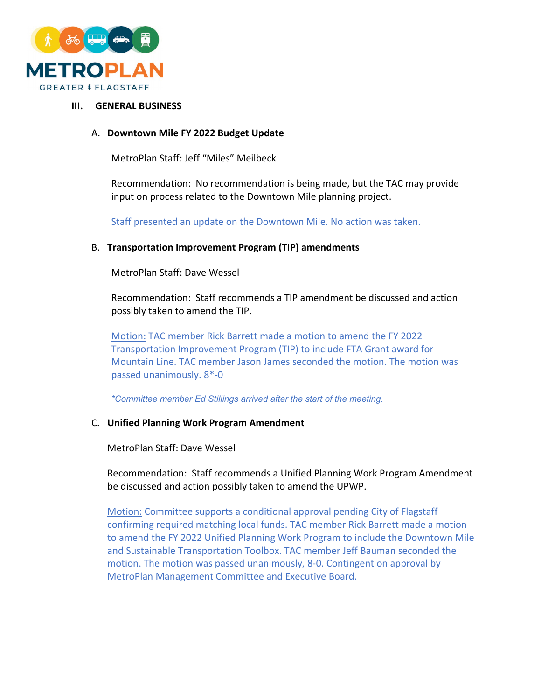

#### **III. GENERAL BUSINESS**

# A. **Downtown Mile FY 2022 Budget Update**

MetroPlan Staff: Jeff "Miles" Meilbeck

Recommendation: No recommendation is being made, but the TAC may provide input on process related to the Downtown Mile planning project.

Staff presented an update on the Downtown Mile. No action was taken.

## B. **Transportation Improvement Program (TIP) amendments**

MetroPlan Staff: Dave Wessel

Recommendation: Staff recommends a TIP amendment be discussed and action possibly taken to amend the TIP.

Motion: TAC member Rick Barrett made a motion to amend the FY 2022 Transportation Improvement Program (TIP) to include FTA Grant award for Mountain Line. TAC member Jason James seconded the motion. The motion was passed unanimously. 8\*-0

*\*Committee member Ed Stillings arrived after the start of the meeting.*

# C. **Unified Planning Work Program Amendment**

MetroPlan Staff: Dave Wessel

Recommendation: Staff recommends a Unified Planning Work Program Amendment be discussed and action possibly taken to amend the UPWP.

Motion: Committee supports a conditional approval pending City of Flagstaff confirming required matching local funds. TAC member Rick Barrett made a motion to amend the FY 2022 Unified Planning Work Program to include the Downtown Mile and Sustainable Transportation Toolbox. TAC member Jeff Bauman seconded the motion. The motion was passed unanimously, 8-0. Contingent on approval by MetroPlan Management Committee and Executive Board.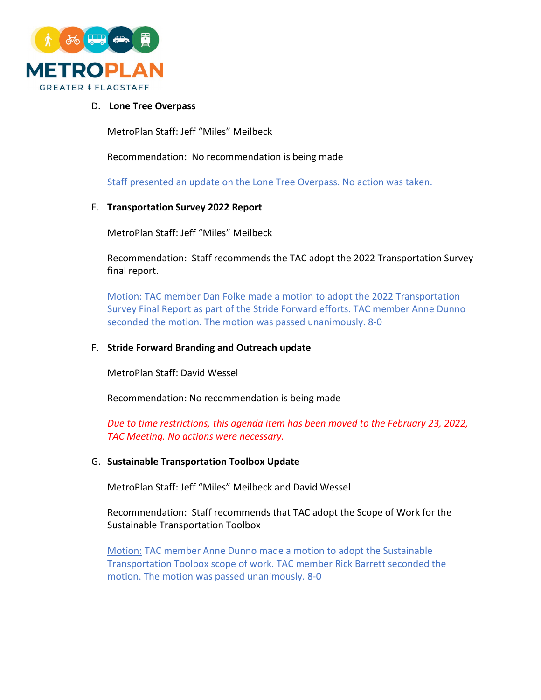

## D. **Lone Tree Overpass**

MetroPlan Staff: Jeff "Miles" Meilbeck

Recommendation: No recommendation is being made

Staff presented an update on the Lone Tree Overpass. No action was taken.

## E. **Transportation Survey 2022 Report**

MetroPlan Staff: Jeff "Miles" Meilbeck

Recommendation: Staff recommends the TAC adopt the 2022 Transportation Survey final report.

Motion: TAC member Dan Folke made a motion to adopt the 2022 Transportation Survey Final Report as part of the Stride Forward efforts. TAC member Anne Dunno seconded the motion. The motion was passed unanimously. 8-0

#### F. **Stride Forward Branding and Outreach update**

MetroPlan Staff: David Wessel

Recommendation: No recommendation is being made

*Due to time restrictions, this agenda item has been moved to the February 23, 2022, TAC Meeting. No actions were necessary.*

#### G. **Sustainable Transportation Toolbox Update**

MetroPlan Staff: Jeff "Miles" Meilbeck and David Wessel

Recommendation: Staff recommends that TAC adopt the Scope of Work for the Sustainable Transportation Toolbox

Motion: TAC member Anne Dunno made a motion to adopt the Sustainable Transportation Toolbox scope of work. TAC member Rick Barrett seconded the motion. The motion was passed unanimously. 8-0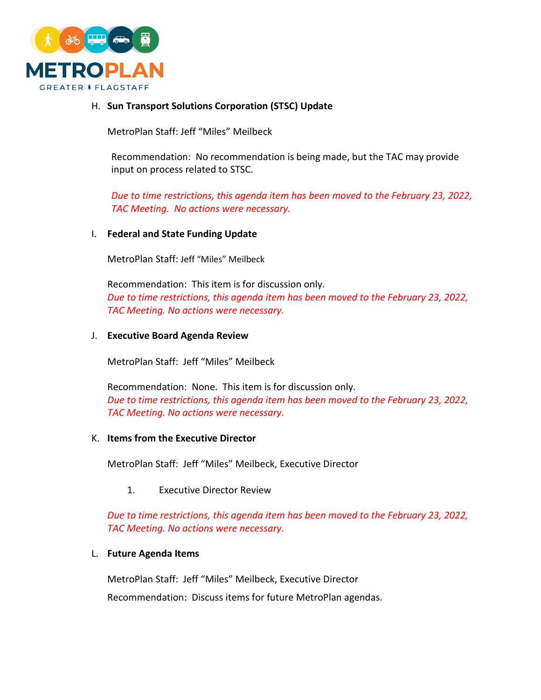

## H. **Sun Transport Solutions Corporation (STSC) Update**

MetroPlan Staff: Jeff "Miles" Meilbeck

Recommendation: No recommendation is being made, but the TAC may provide input on process related to STSC.

*Due to time restrictions, this agenda item has been moved to the February 23, 2022, TAC Meeting. No actions were necessary.* 

#### I. **Federal and State Funding Update**

MetroPlan Staff: Jeff "Miles" Meilbeck

Recommendation: This item is for discussion only. *Due to time restrictions, this agenda item has been moved to the February 23, 2022, TAC Meeting. No actions were necessary.*

#### J. **Executive Board Agenda Review**

MetroPlan Staff: Jeff "Miles" Meilbeck

Recommendation: None. This item is for discussion only. *Due to time restrictions, this agenda item has been moved to the February 23, 2022, TAC Meeting. No actions were necessary.*

# K. **Items from the Executive Director**

MetroPlan Staff: Jeff "Miles" Meilbeck, Executive Director

1. Executive Director Review

*Due to time restrictions, this agenda item has been moved to the February 23, 2022, TAC Meeting. No actions were necessary.*

#### L. **Future Agenda Items**

MetroPlan Staff: Jeff "Miles" Meilbeck, Executive Director

Recommendation: Discuss items for future MetroPlan agendas.